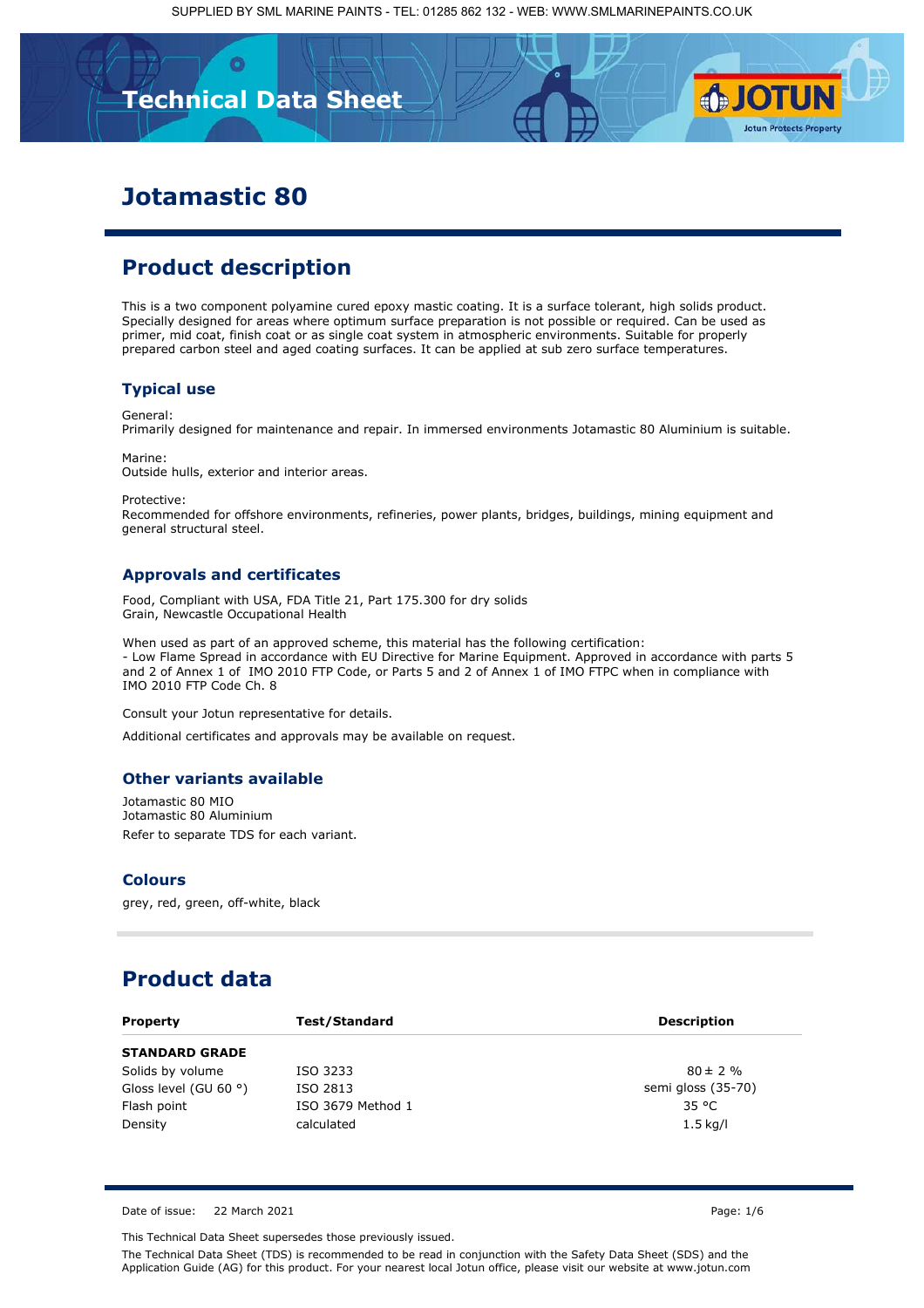**Technical Data Sheet**

# **Jotamastic 80**

## **Product description**

This is a two component polyamine cured epoxy mastic coating. It is a surface tolerant, high solids product. Specially designed for areas where optimum surface preparation is not possible or required. Can be used as primer, mid coat, finish coat or as single coat system in atmospheric environments. Suitable for properly prepared carbon steel and aged coating surfaces. It can be applied at sub zero surface temperatures.

### **Typical use**

General:

Primarily designed for maintenance and repair. In immersed environments Jotamastic 80 Aluminium is suitable.

Marine:

Outside hulls, exterior and interior areas.

Protective:

Recommended for offshore environments, refineries, power plants, bridges, buildings, mining equipment and general structural steel.

#### **Approvals and certificates**

Food, Compliant with USA, FDA Title 21, Part 175.300 for dry solids Grain, Newcastle Occupational Health

When used as part of an approved scheme, this material has the following certification: [- Low Flame Spread in accordance with EU Directive for Marine Equipment. Approved in accordance with parts 5](https://www.smlprotectivecoatings.co.uk/primers/jotamastic)  and 2 of Annex 1 of IMO 2010 FTP Code, or Parts 5 and 2 of Annex 1 of IMO FTPC when in compliance with IMO 2010 FTP Code Ch. 8

Consult your Jotun representative for details.

Additional certificates and approvals may be available on request.

### **Other variants available**

Jotamastic 80 MIO Jotamastic 80 Aluminium Refer to separate TDS for each variant.

#### **Colours**

grey, red, green, off-white, black

## **Product data**

| <b>Property</b>                | <b>Test/Standard</b> | <b>Description</b> |
|--------------------------------|----------------------|--------------------|
| <b>STANDARD GRADE</b>          |                      |                    |
| Solids by volume               | ISO 3233             | $80 \pm 2 \%$      |
| Gloss level (GU 60 $\degree$ ) | ISO 2813             | semi gloss (35-70) |
| Flash point                    | ISO 3679 Method 1    | 35 °C              |
| Density                        | calculated           | $1.5$ kg/l         |

Date of issue: 22 March 2021 **Page: 1/6** 

This Technical Data Sheet supersedes those previously issued.

The Technical Data Sheet (TDS) is recommended to be read in conjunction with the Safety Data Sheet (SDS) and the Application Guide (AG) for this product. For your nearest local Jotun office, please visit our website at www.jotun.com

**SJOTUN** 

**Jotun Protects Property**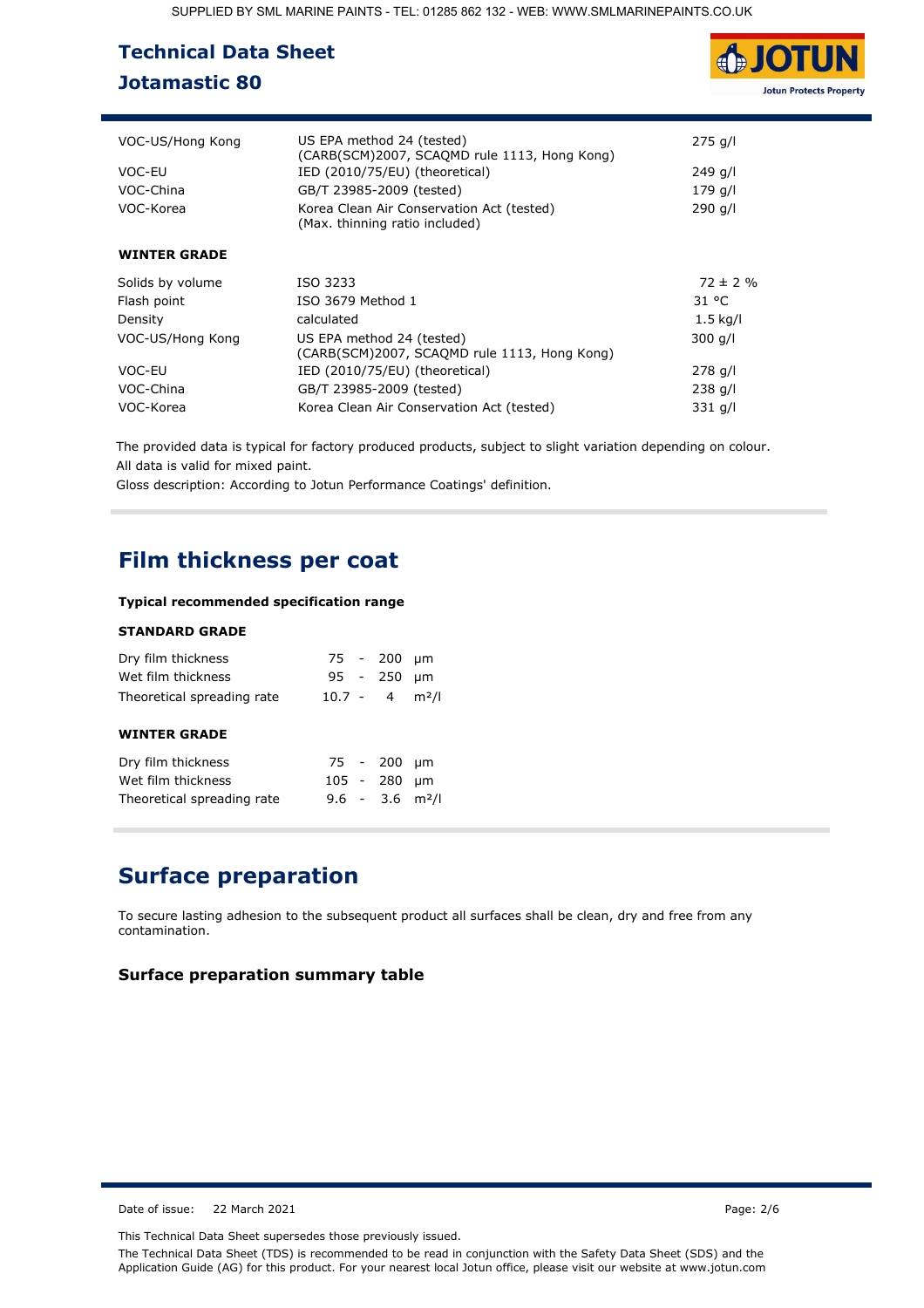| <b>Technical Data Sheet</b> |  |
|-----------------------------|--|
| <b>Jotamastic 80</b>        |  |



| VOC-US/Hong Kong    | US EPA method 24 (tested)<br>(CARB(SCM)2007, SCAOMD rule 1113, Hong Kong)   | $275$ g/l     |
|---------------------|-----------------------------------------------------------------------------|---------------|
| VOC-EU              | IED (2010/75/EU) (theoretical)                                              | 249 g/l       |
| VOC-China           | GB/T 23985-2009 (tested)                                                    | 179 g/l       |
| VOC-Korea           | Korea Clean Air Conservation Act (tested)<br>(Max. thinning ratio included) | 290 a/l       |
| <b>WINTER GRADE</b> |                                                                             |               |
| Solids by volume    | ISO 3233                                                                    | $72 \pm 2 \%$ |
| Flash point         | ISO 3679 Method 1                                                           | 31 °C         |
| Density             | calculated                                                                  | $1.5$ kg/l    |
| VOC-US/Hong Kong    | US EPA method 24 (tested)<br>(CARB(SCM)2007, SCAQMD rule 1113, Hong Kong)   | $300$ g/l     |
| VOC-EU              | IED (2010/75/EU) (theoretical)                                              | $278$ g/l     |
| VOC-China           | GB/T 23985-2009 (tested)                                                    | $238$ g/l     |
| VOC-Korea           | Korea Clean Air Conservation Act (tested)                                   | $331$ g/l     |

[The provided data is typical for factory produced products, subject to slight variation depending on colour.](https://www.smlprotectivecoatings.co.uk/primers/jotamastic) All data is valid for mixed paint.

Gloss description: According to Jotun Performance Coatings' definition.

## **Film thickness per coat**

### **Typical recommended specification range**

**STANDARD GRADE**

| <b>STANDARD GRADE</b>      |             |                               |                   |
|----------------------------|-------------|-------------------------------|-------------------|
| Dry film thickness         | 75 - 200    |                               | µm                |
| Wet film thickness         | 95 - 250    |                               | um                |
| Theoretical spreading rate | $10.7 - 4$  |                               | m <sup>2</sup> /l |
| <b>WINTER GRADE</b>        |             |                               |                   |
| Dry film thickness         | 75 - 200    |                               | um                |
| Wet film thickness         | $105 - 280$ |                               | µm                |
| Theoretical spreading rate |             | $9.6 - 3.6$ m <sup>2</sup> /l |                   |
|                            |             |                               |                   |

# **Surface preparation**

To secure lasting adhesion to the subsequent product all surfaces shall be clean, dry and free from any contamination.

#### **Surface preparation summary table**

Date of issue: 22 March 2021 Page: 2/6

This Technical Data Sheet supersedes those previously issued.

The Technical Data Sheet (TDS) is recommended to be read in conjunction with the Safety Data Sheet (SDS) and the Application Guide (AG) for this product. For your nearest local Jotun office, please visit our website at www.jotun.com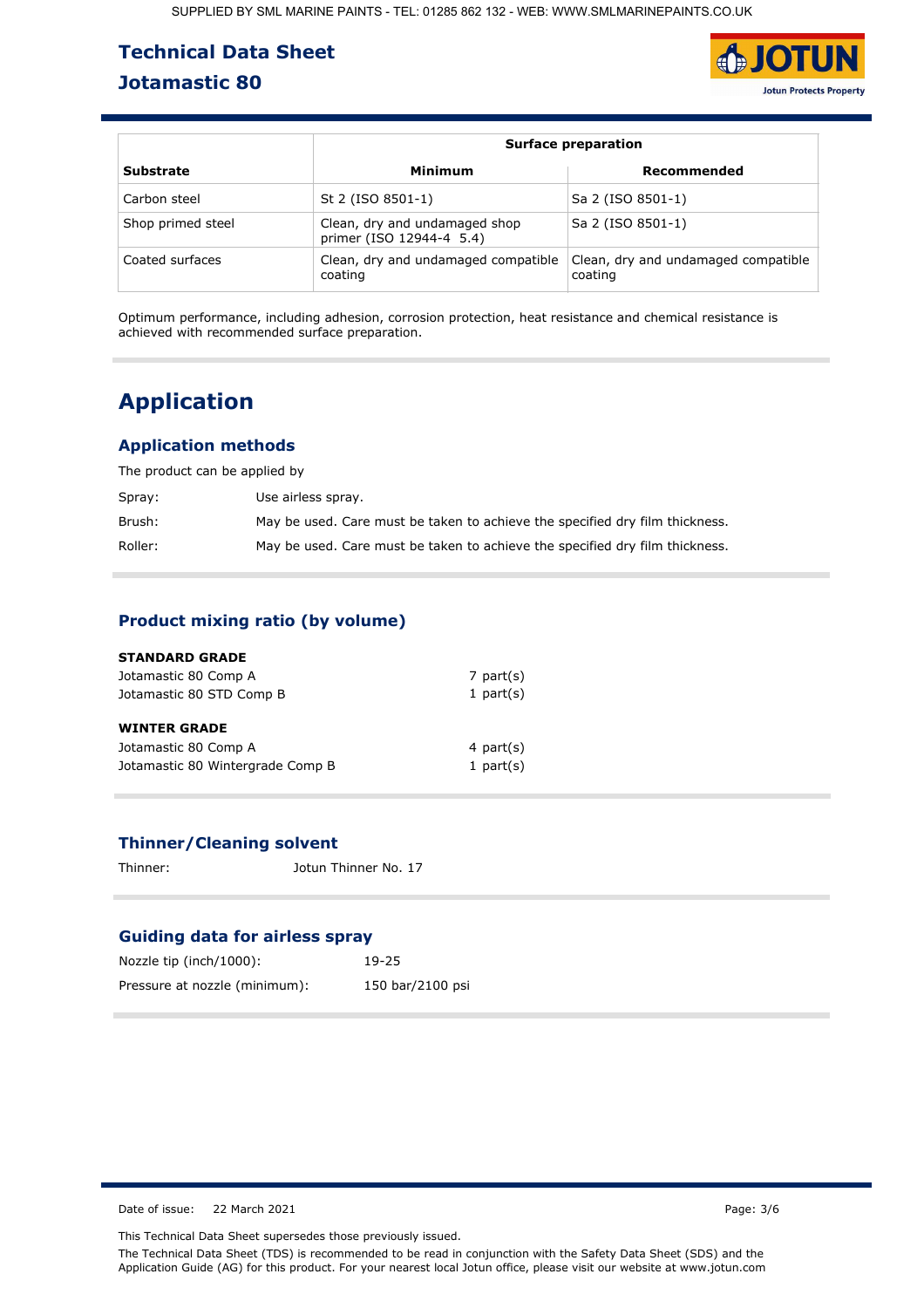# **Technical Data Sheet Jotamastic 80**



|                   |                                                           | <b>Surface preparation</b>                     |  |  |  |
|-------------------|-----------------------------------------------------------|------------------------------------------------|--|--|--|
| <b>Substrate</b>  | Minimum                                                   | Recommended                                    |  |  |  |
| Carbon steel      | St 2 (ISO 8501-1)                                         | Sa 2 (ISO 8501-1)                              |  |  |  |
| Shop primed steel | Clean, dry and undamaged shop<br>primer (ISO 12944-4 5.4) | Sa 2 (ISO 8501-1)                              |  |  |  |
| Coated surfaces   | Clean, dry and undamaged compatible<br>coating            | Clean, dry and undamaged compatible<br>coating |  |  |  |

[Optimum performance, including adhesion, corrosion protection, heat resistance and chemical resistance is](https://www.smlprotectivecoatings.co.uk/primers/jotamastic)  achieved with recommended surface preparation.

# **Application**

### **Application methods**

The product can be applied by

| Spray:  | Use airless spray.                                                           |
|---------|------------------------------------------------------------------------------|
| Brush:  | May be used. Care must be taken to achieve the specified dry film thickness. |
| Roller: | May be used. Care must be taken to achieve the specified dry film thickness. |

### **Product mixing ratio (by volume)**

| <b>STANDARD GRADE</b>            |              |
|----------------------------------|--------------|
| Jotamastic 80 Comp A             | 7 part $(s)$ |
| Jotamastic 80 STD Comp B         | 1 part $(s)$ |
| <b>WINTER GRADE</b>              |              |
| Jotamastic 80 Comp A             | 4 part $(s)$ |
| Jotamastic 80 Wintergrade Comp B | 1 part $(s)$ |

### **Thinner/Cleaning solvent**

Thinner: Jotun Thinner No. 17

### **Guiding data for airless spray**

| Nozzle tip (inch/1000):       | $19 - 25$        |
|-------------------------------|------------------|
| Pressure at nozzle (minimum): | 150 bar/2100 psi |

Date of issue: 22 March 2021 **Page: 3/6** 

This Technical Data Sheet supersedes those previously issued.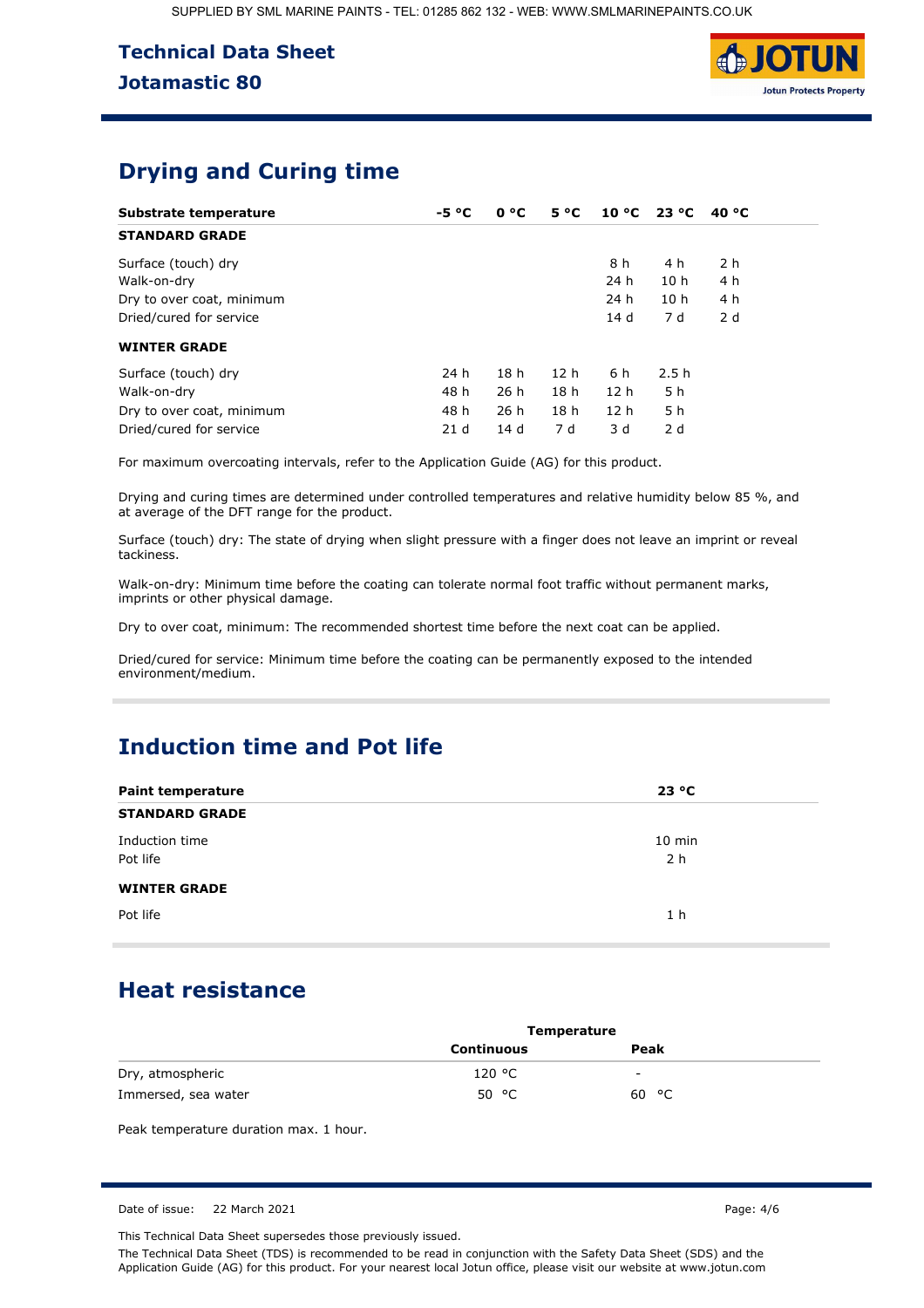

# **Drying and Curing time**

| Substrate temperature     | $-5 °C$         | 0 °C            | $5^{\circ}C$    |                 | $10^{\circ}$ C 23 $^{\circ}$ C | 40 $^{\circ}$ C |
|---------------------------|-----------------|-----------------|-----------------|-----------------|--------------------------------|-----------------|
| <b>STANDARD GRADE</b>     |                 |                 |                 |                 |                                |                 |
| Surface (touch) dry       |                 |                 |                 | 8 h             | 4 h                            | 2 h             |
| Walk-on-dry               |                 |                 |                 | 24 h            | 10 <sub>h</sub>                | 4 h             |
| Dry to over coat, minimum |                 |                 |                 | 24 h            | 10 <sub>h</sub>                | 4 h             |
| Dried/cured for service   |                 |                 |                 | 14 d            | 7 d                            | 2d              |
| <b>WINTER GRADE</b>       |                 |                 |                 |                 |                                |                 |
| Surface (touch) dry       | 24 h            | 18 <sub>h</sub> | 12 <sub>h</sub> | 6 h             | 2.5h                           |                 |
| Walk-on-dry               | 48 h            | 26 h            | 18 <sub>h</sub> | 12 <sub>h</sub> | 5 h                            |                 |
| Dry to over coat, minimum | 48 h            | 26h             | 18 <sub>h</sub> | 12 <sub>h</sub> | 5 h                            |                 |
| Dried/cured for service   | 21 <sub>d</sub> | 14d             | 7 d             | 3 d             | 2 d                            |                 |

For maximum overcoating intervals, refer to the Application Guide (AG) for this product.

[Drying and curing times are determined under controlled temperatures and relative humidity below 85 %, and](https://www.smlprotectivecoatings.co.uk/primers/jotamastic)  at average of the DFT range for the product.

Surface (touch) dry: The state of drying when slight pressure with a finger does not leave an imprint or reveal tackiness.

Walk-on-dry: Minimum time before the coating can tolerate normal foot traffic without permanent marks, imprints or other physical damage.

Dry to over coat, minimum: The recommended shortest time before the next coat can be applied.

Dried/cured for service: Minimum time before the coating can be permanently exposed to the intended environment/medium.

# **Induction time and Pot life**

| <b>Paint temperature</b>   | 23 °C                      |
|----------------------------|----------------------------|
| <b>STANDARD GRADE</b>      |                            |
| Induction time<br>Pot life | $10$ min<br>2 <sub>h</sub> |
| <b>WINTER GRADE</b>        |                            |
| Pot life                   | 1 <sub>h</sub>             |

## **Heat resistance**

|                     | <b>Temperature</b> |                          |  |
|---------------------|--------------------|--------------------------|--|
|                     | <b>Continuous</b>  | Peak                     |  |
| Dry, atmospheric    | 120 °C             | $\overline{\phantom{0}}$ |  |
| Immersed, sea water | 50 $\degree$ C     | 60 °C                    |  |

Peak temperature duration max. 1 hour.

Date of issue: 22 March 2021 **Page: 4/6** 

This Technical Data Sheet supersedes those previously issued.

The Technical Data Sheet (TDS) is recommended to be read in conjunction with the Safety Data Sheet (SDS) and the Application Guide (AG) for this product. For your nearest local Jotun office, please visit our website at www.jotun.com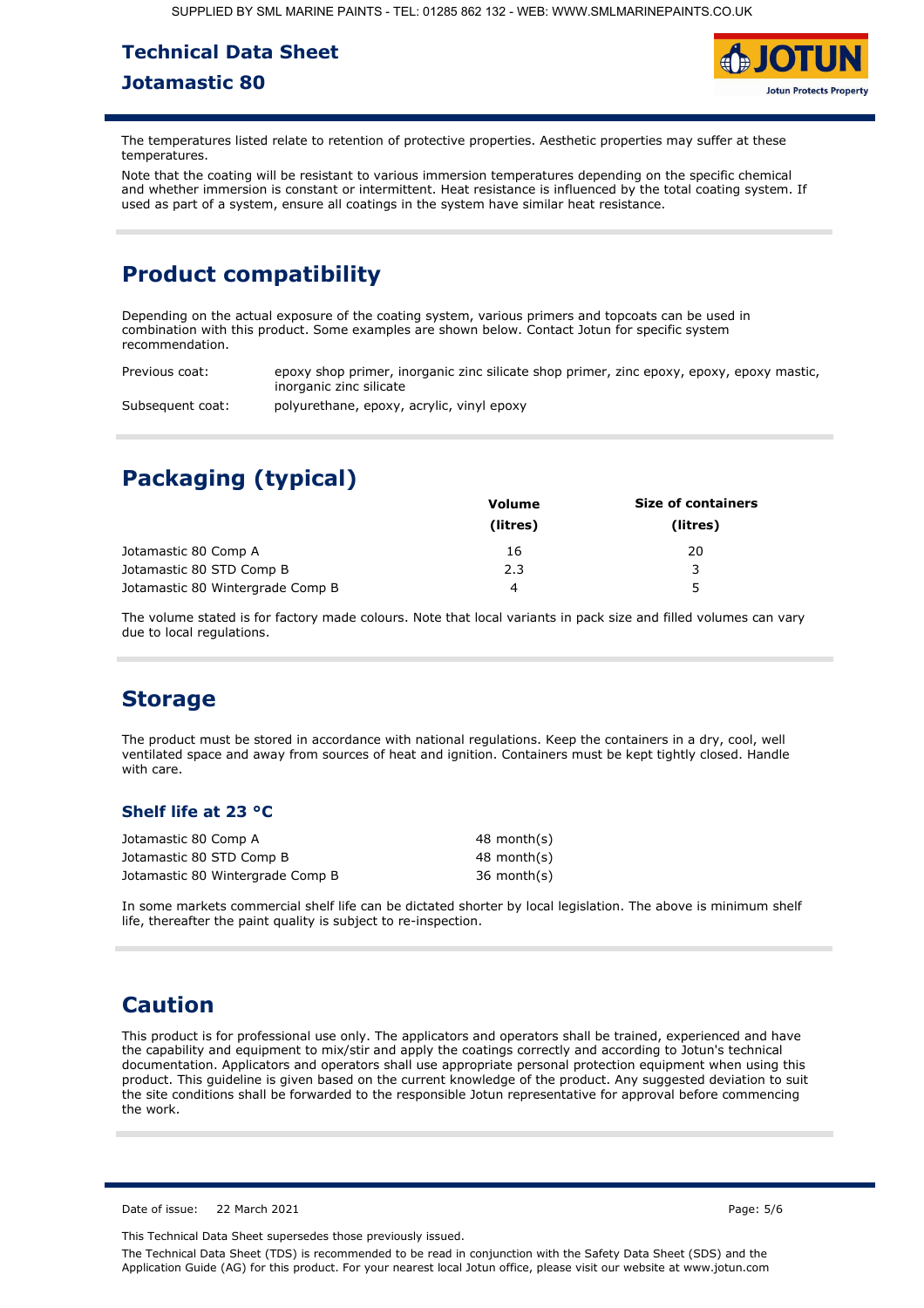# **Technical Data Sheet Jotamastic 80**



The temperatures listed relate to retention of protective properties. Aesthetic properties may suffer at these temperatures.

Note that the coating will be resistant to various immersion temperatures depending on the specific chemical and whether immersion is constant or intermittent. Heat resistance is influenced by the total coating system. If used as part of a system, ensure all coatings in the system have similar heat resistance.

# **Product compatibility**

Depending on the actual exposure of the coating system, various primers and topcoats can be used in combination with this product. Some examples are shown below. Contact Jotun for specific system recommendation.

Previous coat: epoxy shop primer, inorganic zinc silicate shop primer, zinc epoxy, epoxy, epoxy mastic, inorganic zinc silicate

Subsequent coat: polyurethane, epoxy, acrylic, vinyl epoxy

# **Packaging (typical)**

|                                  | <b>Volume</b> | <b>Size of containers</b> |
|----------------------------------|---------------|---------------------------|
|                                  | (litres)      | (litres)                  |
| Jotamastic 80 Comp A             | 16            | 20                        |
| Jotamastic 80 STD Comp B         | 2.3           | 2                         |
| Jotamastic 80 Wintergrade Comp B | 4             | 5                         |

The volume stated is for factory made colours. Note that local variants in pack size and filled volumes can vary due to local regulations.

## **Storage**

The product must be stored in accordance with national regulations. Keep the containers in a dry, cool, well ventilated space and away from sources of heat and ignition. Containers must be kept tightly closed. Handle with care.

### **Shelf life at 23 °C**

| Jotamastic 80 Comp A             | 48 month(s) |
|----------------------------------|-------------|
| Jotamastic 80 STD Comp B         | 48 month(s) |
| Jotamastic 80 Wintergrade Comp B | 36 month(s) |

In some markets commercial shelf life can be dictated shorter by local legislation. The above is minimum shelf life, thereafter the paint quality is subject to re-inspection.

## **Caution**

This product is for professional use only. The applicators and operators shall be trained, experienced and have the capability and equipment to mix/stir and apply the coatings correctly and according to Jotun's technical documentation. Applicators and operators shall use appropriate personal protection equipment when using this [product. This guideline is given based on the current knowledge of the product. Any suggested deviation to suit](https://www.smlprotectivecoatings.co.uk/primers/jotamastic)  the site conditions shall be forwarded to the responsible Jotun representative for approval before commencing the work.

Date of issue: 22 March 2021 2012 2021 20:50 20:50 20:50 20:50 20:50 20:50 20:50 20:50 20:50 20:50 20:50 20:50 20:50 20:50 20:50 20:50 20:50 20:50 20:50 20:50 20:50 20:50 20:50 20:50 20:50 20:50 20:50 20:50 20:50 20:50 20:

This Technical Data Sheet supersedes those previously issued.

The Technical Data Sheet (TDS) is recommended to be read in conjunction with the Safety Data Sheet (SDS) and the Application Guide (AG) for this product. For your nearest local Jotun office, please visit our website at www.jotun.com